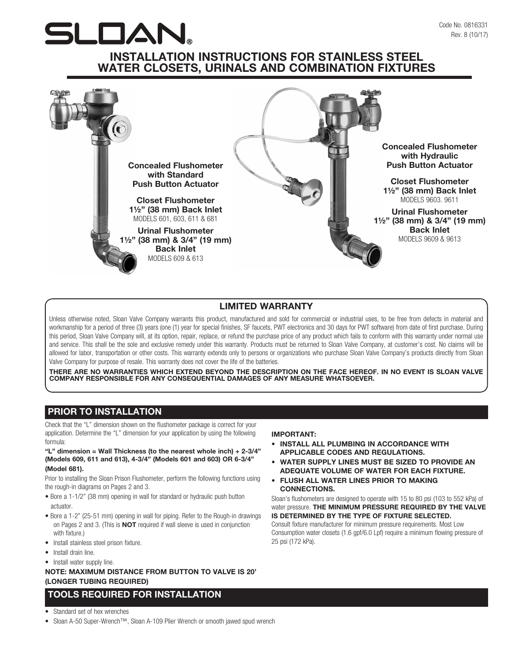# $\Box$

# INSTALLATION INSTRUCTIONS FOR STAINLESS STEEL WATER CLOSETS, URINALS AND COMBINATION FIXTURES



# LIMITED WARRANTY

Unless otherwise noted, Sloan Valve Company warrants this product, manufactured and sold for commercial or industrial uses, to be free from defects in material and workmanship for a period of three (3) years (one (1) year for special finishes, SF faucets, PWT electronics and 30 days for PWT software) from date of first purchase. During this period, Sloan Valve Company will, at its option, repair, replace, or refund the purchase price of any product which fails to conform with this warranty under normal use and service. This shall be the sole and exclusive remedy under this warranty. Products must be returned to Sloan Valve Company, at customer's cost. No claims will be allowed for labor, transportation or other costs. This warranty extends only to persons or organizations who purchase Sloan Valve Company's products directly from Sloan Valve Company for purpose of resale. This warranty does not cover the life of the batteries.

THERE ARE NO WARRANTIES WHICH EXTEND BEYOND THE DESCRIPTION ON THE FACE HEREOF. IN NO EVENT IS SLOAN VALVE COMPANY RESPONSIBLE FOR ANY CONSEQUENTIAL DAMAGES OF ANY MEASURE WHATSOEVER.

# PRIOR TO INSTALLATION

Check that the "L" dimension shown on the flushometer package is correct for your application. Determine the "L" dimension for your application by using the following formula:

## "L" dimension = Wall Thickness (to the nearest whole inch) +  $2-3/4$ " (Models 609, 611 and 613), 4-3/4" (Models 601 and 603) OR 6-3/4" (Model 681).

Prior to installing the Sloan Prison Flushometer, perform the following functions using the rough-in diagrams on Pages 2 and 3.

- Bore a 1-1/2" (38 mm) opening in wall for standard or hydraulic push button actuator.
- Bore a 1-2" (25-51 mm) opening in wall for piping. Refer to the Rough-in drawings on Pages 2 and 3. (This is NOT required if wall sleeve is used in conjunction with fixture.)
- Install stainless steel prison fixture.
- Install drain line.
- Install water supply line.

NOTE: MAXIMUM DISTANCE FROM BUTTON TO VALVE IS 20' (LONGER TUBING REQUIRED)

# TOOLS REQUIRED FOR INSTALLATION

- Standard set of hex wrenches
- Sloan A-50 Super-Wrench™, Sloan A-109 Plier Wrench or smooth jawed spud wrench

## IMPORTANT:

- INSTALL ALL PLUMBING IN ACCORDANCE WITH APPLICABLE CODES AND REGULATIONS.
- WATER SUPPLY LINES MUST BE SIZED TO PROVIDE AN ADEQUATE VOLUME OF WATER FOR EACH FIXTURE.
- FLUSH ALL WATER LINES PRIOR TO MAKING CONNECTIONS.

Sloan's flushometers are designed to operate with 15 to 80 psi (103 to 552 kPa) of water pressure. THE MINIMUM PRESSURE REQUIRED BY THE VALVE IS DETERMINED BY THE TYPE OF FIXTURE SELECTED. Consult fixture manufacturer for minimum pressure requirements. Most Low

Consumption water closets (1.6 gpf/6.0 Lpf) require a minimum flowing pressure of 25 psi (172 kPa).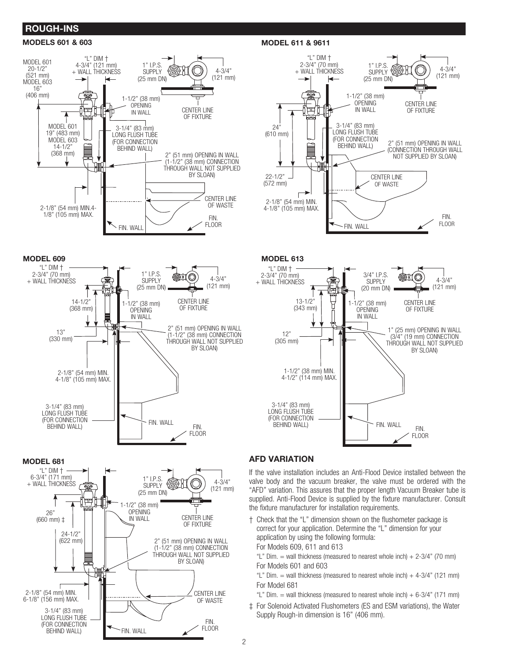# ROUGH-INS

## MODELS 601 & 603 MODEL 611 & 9611











# MODEL 681 AFD VARIATION

If the valve installation includes an Anti-Flood Device installed between the valve body and the vacuum breaker, the valve must be ordered with the "AFD" variation. This assures that the proper length Vacuum Breaker tube is supplied. Anti-Flood Device is supplied by the fixture manufacturer. Consult the fixture manufacturer for installation requirements.

- † Check that the "L" dimension shown on the flushometer package is correct for your application. Determine the "L" dimension for your application by using the following formula:
	- For Models 609, 611 and 613
	- "L" Dim.  $=$  wall thickness (measured to nearest whole inch)  $+ 2-3/4$ " (70 mm) For Models 601 and 603
	- "L" Dim.  $=$  wall thickness (measured to nearest whole inch)  $+$  4-3/4" (121 mm) For Model 681
	- "L" Dim.  $=$  wall thickness (measured to nearest whole inch)  $+6-3/4$ " (171 mm)
- ‡ For Solenoid Activated Flushometers (ES and ESM variations), the Water Supply Rough-in dimension is 16" (406 mm).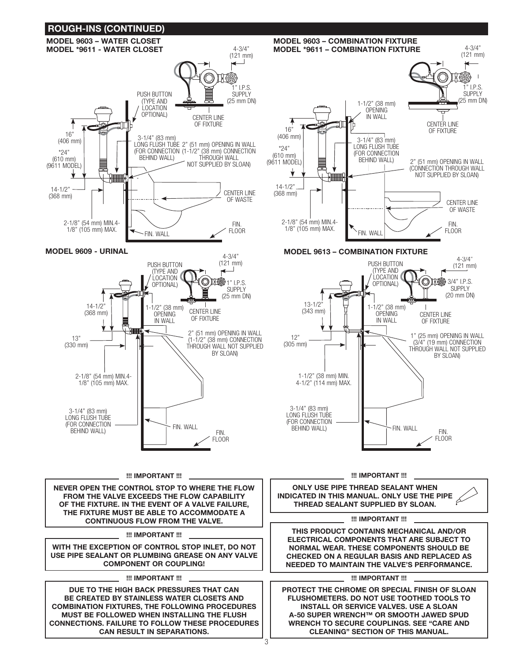

3

!!! IMPORTANT !!!

NEVER OPEN THE CONTROL STOP TO WHERE THE FLOW FROM THE VALVE EXCEEDS THE FLOW CAPABILITY OF THE FIXTURE. IN THE EVENT OF A VALVE FAILURE, THE FIXTURE MUST BE ABLE TO ACCOMMODATE A CONTINUOUS FLOW FROM THE VALVE.

WITH THE EXCEPTION OF CONTROL STOP INLET, DO NOT USE PIPE SEALANT OR PLUMBING GREASE ON ANY VALVE COMPONENT OR COUPLING!

!!! IMPORTANT !!!

DUE TO THE HIGH BACK PRESSURES THAT CAN BE CREATED BY STAINLESS WATER CLOSETS AND COMBINATION FIXTURES, THE FOLLOWING PROCEDURES MUST BE FOLLOWED WHEN INSTALLING THE FLUSH CONNECTIONS. FAILURE TO FOLLOW THESE PROCEDURES CAN RESULT IN SEPARATIONS.

!!! IMPORTANT !!!

ONLY USE PIPE THREAD SEALANT WHEN INDICATED IN THIS MANUAL. ONLY USE THE PIPE THREAD SEALANT SUPPLIED BY SLOAN.

## !!! IMPORTANT !!!

!!! IMPORTANT !!! THIS PRODUCT CONTAINS MECHANICAL AND/OR ELECTRICAL COMPONENTS THAT ARE SUBJECT TO NORMAL WEAR. THESE COMPONENTS SHOULD BE CHECKED ON A REGULAR BASIS AND REPLACED AS NEEDED TO MAINTAIN THE VALVE'S PERFORMANCE.

#### !!! IMPORTANT !!!

PROTECT THE CHROME OR SPECIAL FINISH OF SLOAN FLUSHOMETERS. DO NOT USE TOOTHED TOOLS TO INSTALL OR SERVICE VALVES. USE A SLOAN A-50 SUPER WRENCH™ OR SMOOTH JAWED SPUD WRENCH TO SECURE COUPLINGS. SEE "CARE AND CLEANING" SECTION OF THIS MANUAL.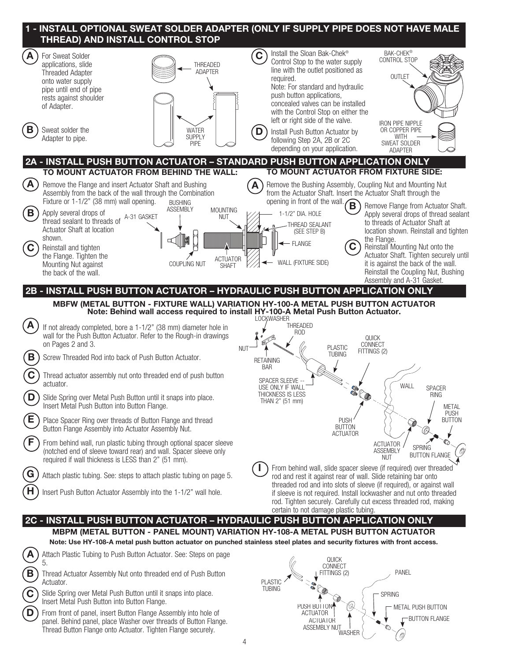| 1 - INSTALL OPTIONAL SWEAT SOLDER ADAPTER (ONLY IF SUPPLY PIPE DOES NOT HAVE MALE<br>THREAD) AND INSTALL CONTROL STOP |                                                                                                                                                                                                                                                                                                                                                                                        |                                                                                                                                                                       |                                                                                                                                                                                                                                                                                                                             |                                                 |                                                                                                                                                                                                                                                                                                                                                                                                                                                                   |  |
|-----------------------------------------------------------------------------------------------------------------------|----------------------------------------------------------------------------------------------------------------------------------------------------------------------------------------------------------------------------------------------------------------------------------------------------------------------------------------------------------------------------------------|-----------------------------------------------------------------------------------------------------------------------------------------------------------------------|-----------------------------------------------------------------------------------------------------------------------------------------------------------------------------------------------------------------------------------------------------------------------------------------------------------------------------|-------------------------------------------------|-------------------------------------------------------------------------------------------------------------------------------------------------------------------------------------------------------------------------------------------------------------------------------------------------------------------------------------------------------------------------------------------------------------------------------------------------------------------|--|
| $\mathbf{A}$                                                                                                          | For Sweat Solder<br>applications, slide<br><b>Threaded Adapter</b><br>onto water supply<br>pipe until end of pipe<br>rests against shoulder<br>of Adapter.                                                                                                                                                                                                                             | <b>THREADED</b><br><b>ADAPTER</b>                                                                                                                                     | Install the Sloan Bak-Chek <sup>®</sup><br><b>C</b><br>Control Stop to the water supply<br>line with the outlet positioned as<br>required.<br>Note: For standard and hydraulic<br>push button applications,<br>concealed valves can be installed<br>with the Control Stop on either the<br>left or right side of the valve. |                                                 | <b>BAK-CHEK®</b><br>CONTROL STOP<br><b>OUTLET</b>                                                                                                                                                                                                                                                                                                                                                                                                                 |  |
| В                                                                                                                     | Sweat solder the<br>Adapter to pipe.                                                                                                                                                                                                                                                                                                                                                   | <b>WATER</b><br><b>SUPPLY</b><br><b>PIPE</b>                                                                                                                          | D<br>Install Push Button Actuator by<br>following Step 2A, 2B or 2C<br>depending on your application.                                                                                                                                                                                                                       |                                                 | <b>IRON PIPE NIPPLE</b><br>OR COPPER PIPE<br><b>WITH</b><br><b>SWEAT SOLDER</b><br><b>ADAPTER</b>                                                                                                                                                                                                                                                                                                                                                                 |  |
|                                                                                                                       | 2A - INSTALL PUSH BUTTON ACTUATOR - STANDARD PUSH BUTTON APPLICATION ONLY                                                                                                                                                                                                                                                                                                              |                                                                                                                                                                       |                                                                                                                                                                                                                                                                                                                             |                                                 |                                                                                                                                                                                                                                                                                                                                                                                                                                                                   |  |
|                                                                                                                       | TO MOUNT ACTUATOR FROM BEHIND THE WALL:                                                                                                                                                                                                                                                                                                                                                |                                                                                                                                                                       |                                                                                                                                                                                                                                                                                                                             |                                                 | TO MOUNT ACTUATOR FROM FIXTURE SIDE:                                                                                                                                                                                                                                                                                                                                                                                                                              |  |
| $\mathbf{A}$<br>$\mathbf{B}$<br>$\mathbf{C}$                                                                          | Remove the Flange and insert Actuator Shaft and Bushing<br>Assembly from the back of the wall through the Combination<br>Fixture or 1-1/2" (38 mm) wall opening.<br>Apply several drops of<br>A-31 GASKET<br>thread sealant to threads of<br>Actuator Shaft at location<br>shown.<br>Reinstall and tighten<br>the Flange. Tighten the<br>Mounting Nut against<br>the back of the wall. | <b>BUSHING</b><br><b>ASSEMBLY</b><br><b>MOUNTING</b><br><b>NUT</b><br><b>ACTUATOR</b><br>COUPLING NUT<br><b>SHAFT</b>                                                 | opening in front of the wall. $\bigcap$<br>1-1/2" DIA. HOLE<br><b>HREAD SEALANT</b><br>(SEE STEP B)<br>- FLANGE<br>WALL (FIXTURE SIDE)                                                                                                                                                                                      | C                                               | Remove the Bushing Assembly, Coupling Nut and Mounting Nut<br>from the Actuator Shaft. Insert the Actuator Shaft through the<br>Remove Flange from Actuator Shaft.<br>Apply several drops of thread sealant<br>to threads of Actuator Shaft at<br>location shown. Reinstall and tighten<br>the Flange.<br>Reinstall Mounting Nut onto the<br>Actuator Shaft. Tighten securely until<br>it is against the back of the wall.<br>Reinstall the Coupling Nut, Bushing |  |
|                                                                                                                       | 2B - INSTALL PUSH BUTTON ACTUATOR - HYDRAULIC PUSH BUTTON APPLICATION ONLY                                                                                                                                                                                                                                                                                                             |                                                                                                                                                                       |                                                                                                                                                                                                                                                                                                                             |                                                 | Assembly and A-31 Gasket.                                                                                                                                                                                                                                                                                                                                                                                                                                         |  |
|                                                                                                                       |                                                                                                                                                                                                                                                                                                                                                                                        |                                                                                                                                                                       |                                                                                                                                                                                                                                                                                                                             |                                                 |                                                                                                                                                                                                                                                                                                                                                                                                                                                                   |  |
|                                                                                                                       |                                                                                                                                                                                                                                                                                                                                                                                        | MBFW (METAL BUTTON - FIXTURE WALL) VARIATION HY-100-A METAL PUSH BUTTON ACTUATOR<br>Note: Behind wall access required to install HY-100-A Metal Push Button Actuator. |                                                                                                                                                                                                                                                                                                                             |                                                 |                                                                                                                                                                                                                                                                                                                                                                                                                                                                   |  |
|                                                                                                                       | If not already completed, bore a 1-1/2" (38 mm) diameter hole in<br>wall for the Push Button Actuator. Refer to the Rough-in drawings<br>on Pages 2 and 3.                                                                                                                                                                                                                             |                                                                                                                                                                       | <b>LOCKWASHER</b><br>THREADED<br>ROD<br><b>NUT</b>                                                                                                                                                                                                                                                                          | <b>PLASTIC</b>                                  | QUICK<br>CONNECT                                                                                                                                                                                                                                                                                                                                                                                                                                                  |  |
| B                                                                                                                     | Screw Threaded Rod into back of Push Button Actuator.                                                                                                                                                                                                                                                                                                                                  |                                                                                                                                                                       | <b>RETAINING</b>                                                                                                                                                                                                                                                                                                            | <b>TUBING</b>                                   | FITTINGS (2)                                                                                                                                                                                                                                                                                                                                                                                                                                                      |  |
|                                                                                                                       | Thread actuator assembly nut onto threaded end of push button<br>actuator.                                                                                                                                                                                                                                                                                                             |                                                                                                                                                                       | <b>BAR</b><br>SPACER SLEEVE -<br>USE ONLY IF WALL<br>THICKNESS IS LESS                                                                                                                                                                                                                                                      |                                                 | WALL<br><b>SPACER</b><br>RING                                                                                                                                                                                                                                                                                                                                                                                                                                     |  |
|                                                                                                                       | Slide Spring over Metal Push Button until it snaps into place.<br>Insert Metal Push Button into Button Flange.                                                                                                                                                                                                                                                                         |                                                                                                                                                                       | THAN 2" (51 mm)                                                                                                                                                                                                                                                                                                             |                                                 | <b>METAL</b>                                                                                                                                                                                                                                                                                                                                                                                                                                                      |  |
|                                                                                                                       | Place Spacer Ring over threads of Button Flange and thread<br>Button Flange Assembly into Actuator Assembly Nut.                                                                                                                                                                                                                                                                       |                                                                                                                                                                       |                                                                                                                                                                                                                                                                                                                             | <b>PUSH</b><br><b>BUTTON</b><br><b>ACTUATOR</b> | <b>PUSH</b><br><b>BUTTON</b>                                                                                                                                                                                                                                                                                                                                                                                                                                      |  |
|                                                                                                                       | From behind wall, run plastic tubing through optional spacer sleeve<br>(notched end of sleeve toward rear) and wall. Spacer sleeve only<br>required if wall thickness is LESS than 2" (51 mm).                                                                                                                                                                                         |                                                                                                                                                                       |                                                                                                                                                                                                                                                                                                                             |                                                 | <b>ACTUATOR</b><br><b>SPRING</b><br><b>ASSEMBLY</b><br><b>BUTTON FLANGE</b><br><b>NUT</b>                                                                                                                                                                                                                                                                                                                                                                         |  |
|                                                                                                                       | Attach plastic tubing. See: steps to attach plastic tubing on page 5.                                                                                                                                                                                                                                                                                                                  |                                                                                                                                                                       |                                                                                                                                                                                                                                                                                                                             |                                                 | From behind wall, slide spacer sleeve (if required) over threaded<br>rod and rest it against rear of wall. Slide retaining bar onto                                                                                                                                                                                                                                                                                                                               |  |
|                                                                                                                       | Insert Push Button Actuator Assembly into the 1-1/2" wall hole.                                                                                                                                                                                                                                                                                                                        |                                                                                                                                                                       | certain to not damage plastic tubing.                                                                                                                                                                                                                                                                                       |                                                 | threaded rod and into slots of sleeve (if required), or against wall<br>if sleeve is not required. Install lockwasher and nut onto threaded<br>rod. Tighten securely. Carefully cut excess threaded rod, making                                                                                                                                                                                                                                                   |  |
|                                                                                                                       | 2C - INSTALL PUSH BUTTON ACTUATOR - HYDRAULIC PUSH BUTTON APPLICATION ONLY                                                                                                                                                                                                                                                                                                             |                                                                                                                                                                       |                                                                                                                                                                                                                                                                                                                             |                                                 |                                                                                                                                                                                                                                                                                                                                                                                                                                                                   |  |
|                                                                                                                       | MBPM (METAL BUTTON - PANEL MOUNT) VARIATION HY-108-A METAL PUSH BUTTON ACTUATOR<br>Note: Use HY-108-A metal push button actuator on punched stainless steel plates and security fixtures with front access.                                                                                                                                                                            |                                                                                                                                                                       |                                                                                                                                                                                                                                                                                                                             |                                                 |                                                                                                                                                                                                                                                                                                                                                                                                                                                                   |  |
|                                                                                                                       | Attach Plastic Tubing to Push Button Actuator. See: Steps on page                                                                                                                                                                                                                                                                                                                      |                                                                                                                                                                       |                                                                                                                                                                                                                                                                                                                             |                                                 |                                                                                                                                                                                                                                                                                                                                                                                                                                                                   |  |
|                                                                                                                       | 5.<br>Thread Actuator Assembly Nut onto threaded end of Push Button<br>Actuator.                                                                                                                                                                                                                                                                                                       |                                                                                                                                                                       | <b>PLASTI</b>                                                                                                                                                                                                                                                                                                               | <b>QUICK</b><br>CONNECT<br>FITTINGS (2)         | PANEL                                                                                                                                                                                                                                                                                                                                                                                                                                                             |  |

C Slide Spring over Metal Push Button until it snaps into place.<br>Insert Metal Push Button into Button Flange.

D) From front of panel, insert Button Flange Assembly into hole of panel. Behind panel, place Washer over threads of Button Flange. Thread Button Flange onto Actuator. Tighten Flange securely.

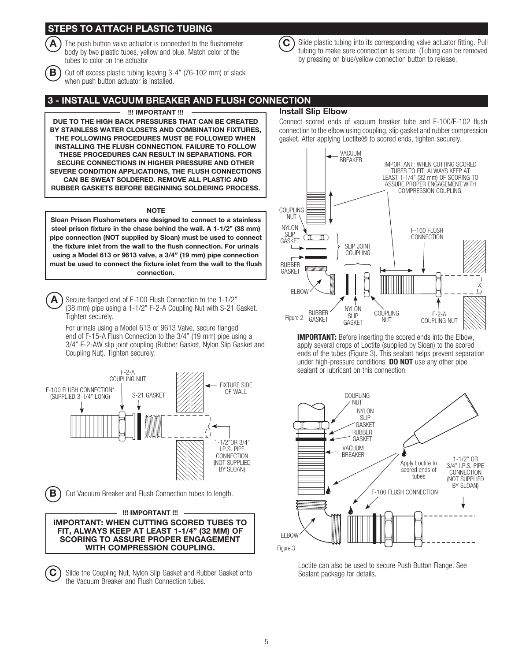# STEPS TO ATTACH PLASTIC TUBING

The push button valve actuator is connected to the flushometer body by two plastic tubes, yellow and blue. Match color of the tubes to color on the actuator



 $\mathbf{B}$ ) Cut off excess plastic tubing leaving 3-4" (76-102 mm) of slack when push button actuator is installed.

# 3 - INSTALL VACUUM BREAKER AND FLUSH CONNECTION

#### !!! IMPORTANT !!!

DUE TO THE HIGH BACK PRESSURES THAT CAN BE CREATED BY STAINLESS WATER CLOSETS AND COMBINATION FIXTURES, THE FOLLOWING PROCEDURES MUST BE FOLLOWED WHEN INSTALLING THE FLUSH CONNECTION. FAILURE TO FOLLOW THESE PROCEDURES CAN RESULT IN SEPARATIONS. FOR SECURE CONNECTIONS IN HIGHER PRESSURE AND OTHER SEVERE CONDITION APPLICATIONS, THE FLUSH CONNECTIONS CAN BE SWEAT SOLDERED. REMOVE ALL PLASTIC AND RUBBER GASKETS BEFORE BEGINNING SOLDERING PROCESS.

#### **NOTE**

Sloan Prison Flushometers are designed to connect to a stainless steel prison fixture in the chase behind the wall. A 1-1/2" (38 mm) pipe connection (NOT supplied by Sloan) must be used to connect the fixture inlet from the wall to the flush connection. For urinals using a Model 613 or 9613 valve, a 3/4" (19 mm) pipe connection must be used to connect the fixture inlet from the wall to the flush connection.

 $\blacktriangle$ ) Secure flanged end of F-100 Flush Connection to the 1-1/2" (38 mm) pipe using a 1-1/2" F-2-A Coupling Nut with S-21 Gasket. Tighten securely.

For urinals using a Model 613 or 9613 Valve, secure flanged end of F-15-A Flush Connection to the 3/4" (19 mm) pipe using a 3/4" F-2-AW slip joint coupling (Rubber Gasket, Nylon Slip Gasket and Coupling Nut). Tighten securely.



## IMPORTANT: WHEN CUTTING SCORED TUBES TO FIT, ALWAYS KEEP AT LEAST 1-1/4" (32 MM) OF SCORING TO ASSURE PROPER ENGAGEMENT WITH COMPRESSION COUPLING.

 $\mathbf C$  Slide the Coupling Nut, Nylon Slip Gasket and Rubber Gasket onto the Vacuum Breaker and Flush Connection tubes.

Install Slip Elbow

Connect scored ends of vacuum breaker tube and F-100/F-102 flush connection to the elbow using coupling, slip gasket and rubber compression gasket. After applying Loctite® to scored ends, tighten securely.

 $\hat{C}$  Slide plastic tubing into its corresponding valve actuator fitting. Pull tubing to make sure connection is secure. (Tubing can be removed

by pressing on blue/yellow connection button to release.



IMPORTANT: Before inserting the scored ends into the Elbow, apply several drops of Loctite (supplied by Sloan) to the scored ends of the tubes (Figure 3). This sealant helps prevent separation under high-pressure conditions. DO NOT use any other pipe sealant or lubricant on this connection.



Loctite can also be used to secure Push Button Flange. See Sealant package for details.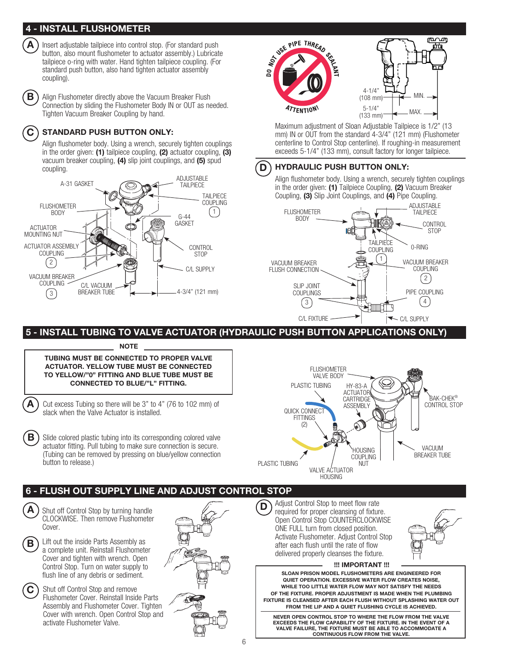# 4 - INSTALL FLUSHOMETER



Insert adjustable tailpiece into control stop. (For standard push button, also mount flushometer to actuator assembly.) Lubricate tailpiece o-ring with water. Hand tighten tailpiece coupling. (For standard push button, also hand tighten actuator assembly coupling).

**B** ) Align Flushometer directly above the Vacuum Breaker Flush Connection by sliding the Flushometer Body IN or OUT as needed. Tighten Vacuum Breaker Coupling by hand.

# $(C)$  STANDARD PUSH BUTTON ONLY:

Align flushometer body. Using a wrench, securely tighten couplings in the order given: (1) tailpiece coupling, (2) actuator coupling, (3) vacuum breaker coupling, (4) slip joint couplings, and (5) spud coupling.





Maximum adjustment of Sloan Adjustable Tailpiece is 1/2" (13 mm) IN or OUT from the standard 4-3/4" (121 mm) (Flushometer centerline to Control Stop centerline). If roughing-in measurement exceeds 5-1/4" (133 mm), consult factory for longer tailpiece.

# D ) HYDRAULIC PUSH BUTTON ONLY:

Align flushometer body. Using a wrench, securely tighten couplings in the order given: (1) Tailpiece Coupling, (2) Vacuum Breaker Coupling, (3) Slip Joint Couplings, and (4) Pipe Coupling.



5 - INSTALL TUBING TO VALVE ACTUATOR (HYDRAULIC PUSH BUTTON APPLICATIONS ONLY)

**NOTE** 

TUBING MUST BE CONNECTED TO PROPER VALVE ACTUATOR. YELLOW TUBE MUST BE CONNECTED TO YELLOW/"0" FITTING AND BLUE TUBE MUST BE CONNECTED TO BLUE/"L" FITTING.

 $\blacktriangle$ ) Cut excess Tubing so there will be 3" to 4" (76 to 102 mm) of slack when the Valve Actuator is installed.

 $\mathbf{B}$ ) Slide colored plastic tubing into its corresponding colored valve actuator fitting. Pull tubing to make sure connection is secure. (Tubing can be removed by pressing on blue/yellow connection button to release.)



# 6 - FLUSH OUT SUPPLY LINE AND ADJUST CONTROL STOP

Shut off Control Stop by turning handle CLOCKWISE. Then remove Flushometer Cover.

 $\mathbf{B}$ 

A

Lift out the inside Parts Assembly as a complete unit. Reinstall Flushometer Cover and tighten with wrench. Open Control Stop. Turn on water supply to flush line of any debris or sediment.

 $\mathbf C$  Shut off Control Stop and remove Flushometer Cover. Reinstall Inside Parts Assembly and Flushometer Cover. Tighten Cover with wrench. Open Control Stop and activate Flushometer Valve.



Adjust Control Stop to meet flow rate required for proper cleansing of fixture. Open Control Stop COUNTERCLOCKWISE ONE FULL turn from closed position. Activate Flushometer. Adjust Control Stop after each flush until the rate of flow delivered properly cleanses the fixture. D



!!! IMPORTANT !!!

SLOAN PRISON MODEL FLUSHOMETERS ARE ENGINEERED FOR QUIET OPERATION. EXCESSIVE WATER FLOW CREATES NOISE, WHILE TOO LITTLE WATER FLOW MAY NOT SATISFY THE NEEDS OF THE FIXTURE. PROPER ADJUSTMENT IS MADE WHEN THE PLUMBING FIXTURE IS CLEANSED AFTER EACH FLUSH WITHOUT SPLASHING WATER OUT FROM THE LIP AND A QUIET FLUSHING CYCLE IS ACHIEVED.

NEVER OPEN CONTROL STOP TO WHERE THE FLOW FROM THE VALVE EXCEEDS THE FLOW CAPABILITY OF THE FIXTURE. IN THE EVENT OF A VALVE FAILURE, THE FIXTURE MUST BE ABLE TO ACCOMMODATE A CONTINUOUS FLOW FROM THE VALVE.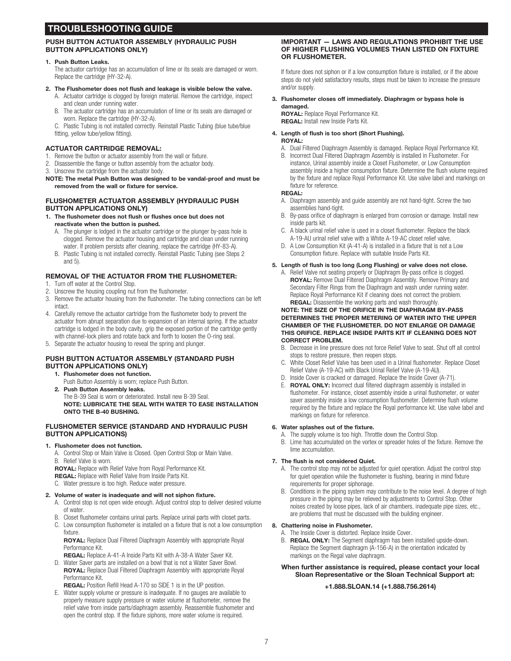# TROUBLESHOOTING GUIDE

## PUSH BUTTON ACTUATOR ASSEMBLY (HYDRAULIC PUSH BUTTON APPLICATIONS ONLY)

#### 1. Push Button Leaks.

The actuator cartridge has an accumulation of lime or its seals are damaged or worn. Replace the cartridge (HY-32-A).

- 2. The Flushometer does not flush and leakage is visible below the valve.
	- A. Actuator cartridge is clogged by foreign material. Remove the cartridge, inspect and clean under running water.
	- B. The actuator cartridge has an accumulation of lime or its seals are damaged or worn. Replace the cartridge (HY-32-A).

C. Plastic Tubing is not installed correctly. Reinstall Plastic Tubing (blue tube/blue fitting, yellow tube/yellow fitting).

## ACTUATOR CARTRIDGE REMOVAL:

- 1. Remove the button or actuator assembly from the wall or fixture.
- 2. Disassemble the flange or button assembly from the actuator body.
- 3. Unscrew the cartridge from the actuator body.

NOTE: The metal Push Button was designed to be vandal-proof and must be removed from the wall or fixture for service.

## FLUSHOMETER ACTUATOR ASSEMBLY (HYDRAULIC PUSH BUTTON APPLICATIONS ONLY)

#### 1. The flushometer does not flush or flushes once but does not reactivate when the button is pushed.

- A. The plunger is lodged in the actuator cartridge or the plunger by-pass hole is clogged. Remove the actuator housing and cartridge and clean under running water. If problem persists after cleaning, replace the cartridge (HY-83-A).
- B. Plastic Tubing is not installed correctly. Reinstall Plastic Tubing (see Steps 2 and 5).

## REMOVAL OF THE ACTUATOR FROM THE FLUSHOMETER:

- 1. Turn off water at the Control Stop.
- 2. Unscrew the housing coupling nut from the flushometer.
- 3. Remove the actuator housing from the flushometer. The tubing connections can be left intact.
- 4. Carefully remove the actuator cartridge from the flushometer body to prevent the actuator from abrupt separation due to expansion of an internal spring. If the actuator cartridge is lodged in the body cavity, grip the exposed portion of the cartridge gently with channel-lock pliers and rotate back and forth to loosen the O-ring seal.
- 5. Separate the actuator housing to reveal the spring and plunger.

## PUSH BUTTON ACTUATOR ASSEMBLY (STANDARD PUSH BUTTON APPLICATIONS ONLY)

- 1. Flushometer does not function.
	- Push Button Assembly is worn; replace Push Button.
- 2. Push Button Assembly leaks. The B-39 Seal is worn or deteriorated. Install new B-39 Seal. NOTE: LUBRICATE THE SEAL WITH WATER TO EASE INSTALLATION ONTO THE B-40 BUSHING.

### FLUSHOMETER SERVICE (STANDARD AND HYDRAULIC PUSH BUTTON APPLICATIONS)

1. Flushometer does not function.

A. Control Stop or Main Valve is Closed. Open Control Stop or Main Valve. B. Relief Valve is worn.

ROYAL: Replace with Relief Valve from Royal Performance Kit.

REGAL: Replace with Relief Valve from Inside Parts Kit.

## C. Water pressure is too high. Reduce water pressure.

#### 2. Volume of water is inadequate and will not siphon fixture.

- A. Control stop is not open wide enough. Adjust control stop to deliver desired volume of water.
- B. Closet flushometer contains urinal parts. Replace urinal parts with closet parts.
- C. Low consumption flushometer is installed on a fixture that is not a low consumption fixture.

ROYAL: Replace Dual Filtered Diaphragm Assembly with appropriate Royal Performance Kit.

REGAL: Replace A-41-A Inside Parts Kit with A-38-A Water Saver Kit.

D. Water Saver parts are installed on a bowl that is not a Water Saver Bowl. ROYAL: Replace Dual Filtered Diaphragm Assembly with appropriate Royal Performance Kit.

REGAL: Position Refill Head A-170 so SIDE 1 is in the UP position.

E. Water supply volume or pressure is inadequate. If no gauges are available to properly measure supply pressure or water volume at flushometer, remove the relief valve from inside parts/diaphragm assembly. Reassemble flushometer and open the control stop. If the fixture siphons, more water volume is required.

#### IMPORTANT — LAWS AND REGULATIONS PROHIBIT THE USE OF HIGHER FLUSHING VOLUMES THAN LISTED ON FIXTURE OR FLUSHOMETER.

If fixture does not siphon or if a low consumption fixture is installed, or if the above steps do not yield satisfactory results, steps must be taken to increase the pressure and/or supply.

3. Flushometer closes off immediately. Diaphragm or bypass hole is damaged.

ROYAL: Replace Royal Performance Kit. REGAL: Install new Inside Parts Kit.

## 4. Length of flush is too short (Short Flushing).

### ROYAL:

- A. Dual Filtered Diaphragm Assembly is damaged. Replace Royal Performance Kit.
- B. Incorrect Dual Filtered Diaphragm Assembly is installed in Flushometer. For instance, Urinal assembly inside a Closet Flushometer, or Low Consumption assembly inside a higher consumption fixture. Determine the flush volume required by the fixture and replace Royal Performance Kit. Use valve label and markings on fixture for reference.

#### REGAL:

- A. Diaphragm assembly and guide assembly are not hand-tight. Screw the two assemblies hand-tight.<br>B. By-pass orifice of diap-
- By-pass orifice of diaphragm is enlarged from corrosion or damage. Install new inside parts kit.
- C. A black urinal relief valve is used in a closet flushometer. Replace the black A-19-AU urinal relief valve with a White A-19-AC closet relief valve.
- D. A Low Consumption Kit (A-41-A) is installed in a fixture that is not a Low Consumption fixture. Replace with suitable Inside Parts Kit.

## 5. Length of flush is too long (Long Flushing) or valve does not close.

A. Relief Valve not seating properly or Diaphragm By-pass orifice is clogged. ROYAL: Remove Dual Filtered Diaphragm Assembly. Remove Primary and Secondary Filter Rings from the Diaphragm and wash under running water. Replace Royal Performance Kit if cleaning does not correct the problem. REGAL: Disassemble the working parts and wash thoroughly.

#### NOTE: THE SIZE OF THE ORIFICE IN THE DIAPHRAGM BY-PASS DETERMINES THE PROPER METERING OF WATER INTO THE UPPER CHAMBER OF THE FLUSHOMETER. DO NOT ENLARGE OR DAMAGE THIS ORIFICE. REPLACE INSIDE PARTS KIT IF CLEANING DOES NOT CORRECT PROBLEM.

- B. Decrease in line pressure does not force Relief Valve to seat. Shut off all control stops to restore pressure, then reopen stops.
- C. White Closet Relief Valve has been used in a Urinal flushometer. Replace Closet Relief Valve (A-19-AC) with Black Urinal Relief Valve (A-19-AU).
- D. Inside Cover is cracked or damaged. Replace the Inside Cover (A-71).
- E. ROYAL ONLY: Incorrect dual filtered diaphragm assembly is installed in flushometer. For instance, closet assembly inside a urinal flushometer, or water saver assembly inside a low consumption flushometer. Determine flush volume required by the fixture and replace the Royal performance kit. Use valve label and markings on fixture for reference.

#### 6. Water splashes out of the fixture.

- A. The supply volume is too high. Throttle down the Control Stop.
- B. Lime has accumulated on the vortex or spreader holes of the fixture. Remove the lime accumulation.

### 7. The flush is not considered Quiet.

- A. The control stop may not be adjusted for quiet operation. Adjust the control stop for quiet operation while the flushometer is flushing, bearing in mind fixture requirements for proper siphonage.
- B. Conditions in the piping system may contribute to the noise level. A degree of high pressure in the piping may be relieved by adjustments to Control Stop. Other noises created by loose pipes, lack of air chambers, inadequate pipe sizes, etc., are problems that must be discussed with the building engineer.

#### 8. Chattering noise in Flushometer.

- A. The Inside Cover is distorted. Replace Inside Cover.
- B. REGAL ONLY: The Segment diaphragm has been installed upside-down. Replace the Segment diaphragm (A-156-A) in the orientation indicated by markings on the Regal valve diaphragm.

## When further assistance is required, please contact your local Sloan Representative or the Sloan Technical Support at:

## +1.888.SLOAN.14 (+1.888.756.2614)